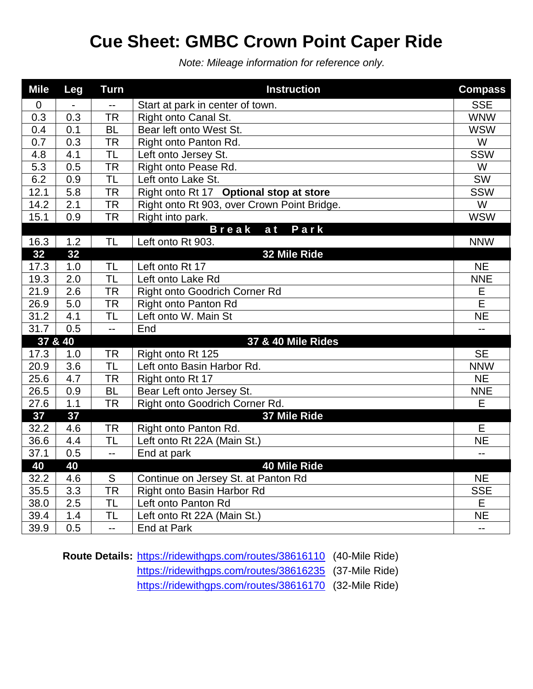## **Cue Sheet: GMBC Crown Point Caper Ride**

*Note: Mileage information for reference only.*

| <b>Mile</b> | Leg       | <b>Turn</b>              | <b>Instruction</b>                                         | <b>Compass</b>           |
|-------------|-----------|--------------------------|------------------------------------------------------------|--------------------------|
| $\mathbf 0$ |           | $-$                      | Start at park in center of town.                           | <b>SSE</b>               |
| 0.3         | 0.3       | <b>TR</b>                | Right onto Canal St.                                       | <b>WNW</b>               |
| 0.4         | 0.1       | <b>BL</b>                | Bear left onto West St.                                    | <b>WSW</b>               |
| 0.7         | 0.3       | <b>TR</b>                | Right onto Panton Rd.                                      | $\overline{W}$           |
| 4.8         | 4.1       | $\overline{\sf TL}$      | Left onto Jersey St.                                       | <b>SSW</b>               |
| 5.3         | 0.5       | <b>TR</b>                | Right onto Pease Rd.                                       | W                        |
| 6.2         | 0.9       | <b>TL</b>                | Left onto Lake St.                                         | SW                       |
| 12.1        | 5.8       | <b>TR</b>                | Right onto Rt 17 Optional stop at store                    | <b>SSW</b>               |
| 14.2        | 2.1       | <b>TR</b>                | Right onto Rt 903, over Crown Point Bridge.                | W                        |
| 15.1        | 0.9       | <b>TR</b>                | Right into park.                                           | <b>WSW</b>               |
|             |           |                          | Break<br>Park<br>a t                                       |                          |
| 16.3        | 1.2       | <b>TL</b>                | Left onto Rt 903.                                          | <b>NNW</b>               |
| 32          | 32        |                          | 32 Mile Ride                                               |                          |
| 17.3        | 1.0       | <b>TL</b>                | Left onto Rt 17                                            | <b>NE</b>                |
| 19.3        | 2.0       | <b>TL</b>                | Left onto Lake Rd                                          | <b>NNE</b>               |
| 21.9        | 2.6       | <b>TR</b>                | Right onto Goodrich Corner Rd                              | Ε                        |
| 26.9        | 5.0       | <b>TR</b>                | <b>Right onto Panton Rd</b>                                | E                        |
| 31.2        | 4.1       | <b>TL</b>                | Left onto W. Main St                                       | <b>NE</b>                |
| 31.7        | 0.5       | $\overline{a}$           | End                                                        |                          |
| 37 & 40     |           |                          | 37 & 40 Mile Rides                                         |                          |
| 17.3        | 1.0       | <b>TR</b>                | Right onto Rt 125                                          | <b>SE</b>                |
| 20.9        | 3.6       | $\overline{\sf TL}$      | Left onto Basin Harbor Rd.                                 | <b>NNW</b>               |
| 25.6        | 4.7       | <b>TR</b>                | Right onto Rt 17                                           | <b>NE</b>                |
| 26.5        | 0.9       | <b>BL</b>                | Bear Left onto Jersey St.                                  | <b>NNE</b>               |
| 27.6        | 1.1       | <b>TR</b>                | Right onto Goodrich Corner Rd.                             | E                        |
| 37          | 37        |                          | 37 Mile Ride                                               |                          |
| 32.2        | 4.6       | <b>TR</b>                | Right onto Panton Rd.                                      | E                        |
| 36.6        | 4.4       | $\overline{\sf TL}$      | Left onto Rt 22A (Main St.)                                | <b>NE</b>                |
| 37.1        | 0.5       | $\overline{\phantom{a}}$ | End at park                                                | $-$                      |
| 40<br>32.2  | 40<br>4.6 | S                        | <b>40 Mile Ride</b><br>Continue on Jersey St. at Panton Rd | <b>NE</b>                |
| 35.5        | 3.3       | <b>TR</b>                | Right onto Basin Harbor Rd                                 | <b>SSE</b>               |
| 38.0        | 2.5       | <b>TL</b>                | Left onto Panton Rd                                        | E                        |
| 39.4        | 1.4       | <b>TL</b>                | Left onto Rt 22A (Main St.)                                | <b>NE</b>                |
| 39.9        | 0.5       | $\overline{a}$           | <b>End at Park</b>                                         | $\overline{\phantom{a}}$ |
|             |           |                          |                                                            |                          |

**Route Details:** <https://ridewithgps.com/routes/38616110> (40-Mile Ride)

<https://ridewithgps.com/routes/38616235> (37-Mile Ride)

<https://ridewithgps.com/routes/38616170> (32-Mile Ride)